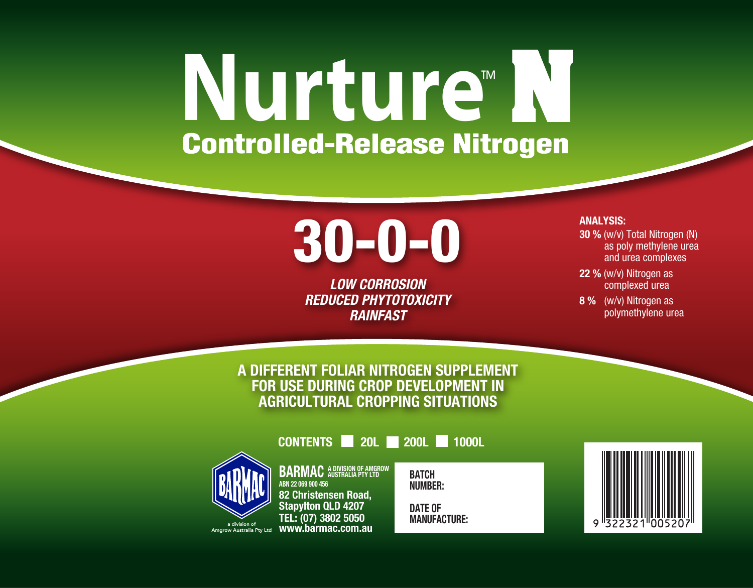# **Nurture**<sup>M</sup>

## 30-0-0

*LOW CORROSION REDUCED PHYTOTOXICITY RAINFAST*

#### ANALYSIS:

- 30 % (w/v) Total Nitrogen (N) as poly methylene urea and urea complexes
- 22 % (w/v) Nitrogen as complexed urea
- 8 % (w/v) Nitrogen as polymethylene urea

#### A DIFFERENT FOLIAR NITROGEN SUPPLEMENT FOR USE DURING CROP DEVELOPMENT IN AGRICULTURAL CROPPING SITUATIONS

CONTENTS 20L 200L 1000L



**BARMAC** A DIVISION OF AMGROW ABN 22 069 900 456 82 Christensen Road, Stapylton QLD 4207 TEL: (07) 3802 5050 www.barmac.com.au

**BATCH** NUMBER:

DATE OF MANUFACTURE: